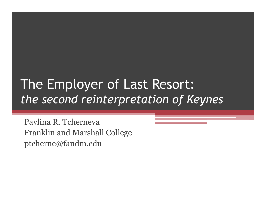#### The Employer of Last Resort: *the second reinterpretation of Keynes*

Pavlina R. Tcherneva Franklin and Marshall College ptcherne@fandm.edu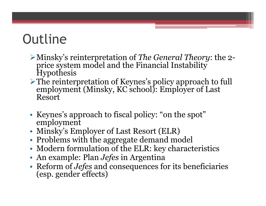# **Outline**

- Minsky's reinterpretation of *The General Theory*: the 2 price system model and the Financial Instability **Hypothesis**
- The reinterpretation of Keynes's policy approach to full employment (Minsky, KC school): Employer of Last Resort
- Keynes's approach to fiscal policy: "on the spot" employment
- Minsky's Employer of Last Resort (ELR)
- Problems with the aggregate demand model
- Modern formulation of the ELR: key characteristics
- An example: Plan *Jefes* in Argentina
- Reform of *Jefes* and consequences for its beneficiaries (esp. gender effects)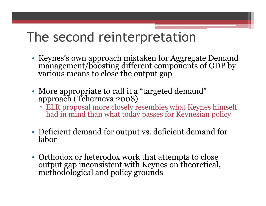#### The second reinterpretation

- Keynes's own approach mistaken for Aggregate Demand management/boosting different components of GDP by various means to close the output gap
- More appropriate to call it a "targeted demand" approach (Tcherneva 2008)
	- ELR proposal more closely resembles what Keynes himself had in mind than what today passes for Keynesian policy
- Deficient demand for output vs. deficient demand for labor
- Orthodox or heterodox work that attempts to close output gap inconsistent with Keynes on theoretical, methodological and policy grounds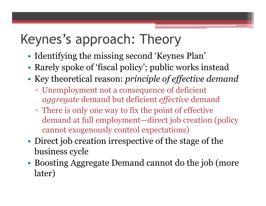## Keynes's approach: Theory

- Identifying the missing second 'Keynes Plan'
- Rarely spoke of 'fiscal policy'; public works instead
- Key theoretical reason: *principle of effective demand*
	- Unemployment not a consequence of deficient *aggregate* demand but deficient *effective* demand
	- There is only one way to fix the point of effective demand at full employment—direct job creation (policy cannot exogenously control expectations)
- Direct job creation irrespective of the stage of the business cycle
- Boosting Aggregate Demand cannot do the job (more later)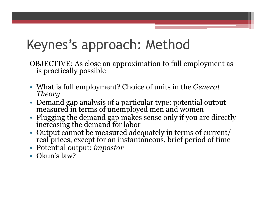## Keynes's approach: Method

OBJECTIVE: As close an approximation to full employment as is practically possible

- What is full employment? Choice of units in the *General Theory*
- Demand gap analysis of a particular type: potential output measured in terms of unemployed men and women
- Plugging the demand gap makes sense only if you are directly increasing the demand for labor
- Output cannot be measured adequately in terms of current/ real prices, except for an instantaneous, brief period of time
- Potential output: *impostor*
- Okun's law?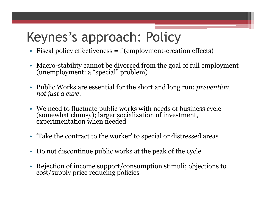# Keynes's approach: Policy

- Fiscal policy effectiveness = f (employment-creation effects)
- Macro-stability cannot be divorced from the goal of full employment (unemployment: a "special" problem)
- Public Works are essential for the short and long run: *prevention, not just a cure*.
- We need to fluctuate public works with needs of business cycle (somewhat clumsy); larger socialization of investment, experimentation when needed
- Take the contract to the worker' to special or distressed areas
- Do not discontinue public works at the peak of the cycle
- Rejection of income support/consumption stimuli; objections to cost/supply price reducing policies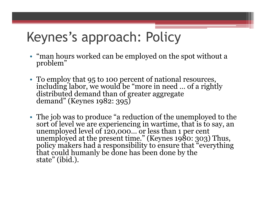## Keynes's approach: Policy

- "man hours worked can be employed on the spot without a problem"
- To employ that 95 to 100 percent of national resources, including labor, we would be "more in need … of a rightly distributed demand than of greater aggregate demand" (Keynes 1982: 395)
- The job was to produce "a reduction of the unemployed to the sort of level we are experiencing in wartime, that is to say, an unemployed level of 120,000… or less than 1 per cent unemployed at the present time." (Keynes 1980: 303) Thus, policy makers had a responsibility to ensure that "everything that could humanly be done has been done by the state" (ibid.).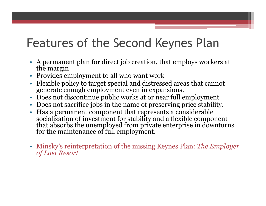#### Features of the Second Keynes Plan

- A permanent plan for direct job creation, that employs workers at the margin
- Provides employment to all who want work
- Flexible policy to target special and distressed areas that cannot generate enough employment even in expansions.
- Does not discontinue public works at or near full employment
- Does not sacrifice jobs in the name of preserving price stability.
- Has a permanent component that represents a considerable socialization of investment for stability and a flexible component that absorbs the unemployed from private enterprise in downturns for the maintenance of full employment.
- Minsky's reinterpretation of the missing Keynes Plan: *The Employer of Last Resort*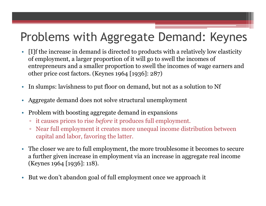#### Problems with Aggregate Demand: Keynes

- [I]f the increase in demand is directed to products with a relatively low elasticity of employment, a larger proportion of it will go to swell the incomes of entrepreneurs and a smaller proportion to swell the incomes of wage earners and other price cost factors. (Keynes 1964 [1936]: 287)
- In slumps: lavishness to put floor on demand, but not as a solution to Nf
- Aggregate demand does not solve structural unemployment
- Problem with boosting aggregate demand in expansions
	- it causes prices to rise *before* it produces full employment.
	- Near full employment it creates more unequal income distribution between capital and labor, favoring the latter.
- The closer we are to full employment, the more troublesome it becomes to secure a further given increase in employment via an increase in aggregate real income (Keynes 1964 [1936]: 118).
- But we don't abandon goal of full employment once we approach it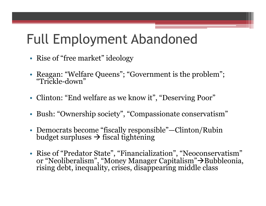## Full Employment Abandoned

- Rise of "free market" ideology
- Reagan: "Welfare Queens"; "Government is the problem"; "Trickle-down"
- Clinton: "End welfare as we know it", "Deserving Poor"
- Bush: "Ownership society", "Compassionate conservatism"
- Democrats become "fiscally responsible"—Clinton/Rubin budget surpluses  $\rightarrow$  fiscal tightening
- Rise of "Predator State", "Financialization", "Neoconservatism" or "Neoliberalism", "Money Manager Capitalism"→Bubbleonia, rising debt, inequality, crises, disappearing middle class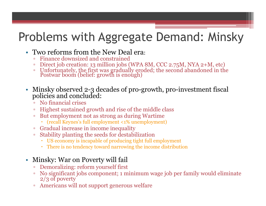#### Problems with Aggregate Demand: Minsky

- Two reforms from the New Deal era:
	- Finance downsized and constrained
	- Direct job creation: 13 million jobs (WPA 8M, CCC 2.75M, NYA 2+M, etc)
	- Unfortunately, the first was gradually eroded; the second abandoned in the Postwar boom (belief: growth is enough)
- Minsky observed 2-3 decades of pro-growth, pro-investment fiscal policies and concluded:
	- No financial crises
	- Highest sustained growth and rise of the middle class
	- But employment not as strong as during Wartime
		- (recall Keynes's full employment <1% unemployment)
	- Gradual increase in income inequality
	- Stability planting the seeds for destabilization
		- US economy is incapable of producing tight full employment
		- There is no tendency toward narrowing the income distribution

#### • Minsky: War on Poverty will fail

- Demoralizing: reform yourself first
- No significant jobs component; 1 minimum wage job per family would eliminate 2/3 of poverty
- Americans will not support generous welfare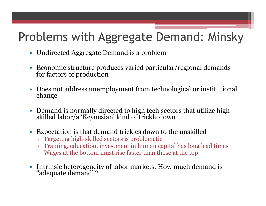#### Problems with Aggregate Demand: Minsky

- Undirected Aggregate Demand is a problem
- Economic structure produces varied particular/regional demands for factors of production
- Does not address unemployment from technological or institutional change
- Demand is normally directed to high tech sectors that utilize high skilled labor/a 'Keynesian' kind of trickle down
- Expectation is that demand trickles down to the unskilled
	- Targeting high-skilled sectors is problematic
	- Training, education, investment in human capital has long lead times
	- Wages at the bottom must rise faster than those at the top
- Intrinsic heterogeneity of labor markets. How much demand is "adequate demand"?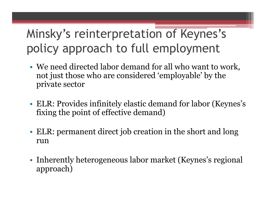#### Minsky's reinterpretation of Keynes's policy approach to full employment

- We need directed labor demand for all who want to work, not just those who are considered 'employable' by the private sector
- ELR: Provides infinitely elastic demand for labor (Keynes's fixing the point of effective demand)
- ELR: permanent direct job creation in the short and long run
- Inherently heterogeneous labor market (Keynes's regional approach)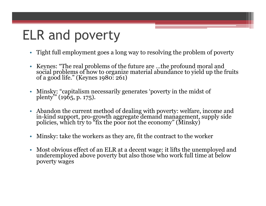## ELR and poverty

- Tight full employment goes a long way to resolving the problem of poverty
- Keynes: "The real problems of the future are …the profound moral and social problems of how to organize material abundance to yield up the fruits of a good life." (Keynes 1980: 261)
- Minsky: "capitalism necessarily generates 'poverty in the midst of plenty'" (1965, p. 175).
- Abandon the current method of dealing with poverty: welfare, income and in-kind support, pro-growth aggregate demand management, supply side policies, which try to "fix the poor not the economy" (Minsky)
- Minsky: take the workers as they are, fit the contract to the worker
- Most obvious effect of an ELR at a decent wage: it lifts the unemployed and underemployed above poverty but also those who work full time at below poverty wages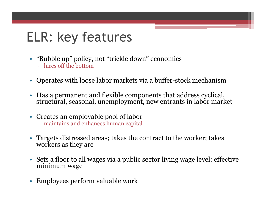# ELR: key features

- "Bubble up" policy, not "trickle down" economics
	- hires off the bottom
- Operates with loose labor markets via a buffer-stock mechanism
- Has a permanent and flexible components that address cyclical, structural, seasonal, unemployment, new entrants in labor market
- Creates an employable pool of labor
	- maintains and enhances human capital
- Targets distressed areas; takes the contract to the worker; takes workers as they are
- Sets a floor to all wages via a public sector living wage level: effective minimum wage
- Employees perform valuable work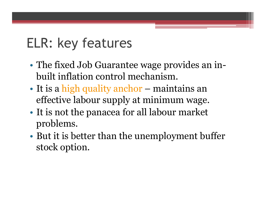## ELR: key features

- The fixed Job Guarantee wage provides an inbuilt inflation control mechanism.
- It is a high quality anchor maintains an effective labour supply at minimum wage.
- It is not the panacea for all labour market problems.
- But it is better than the unemployment buffer stock option.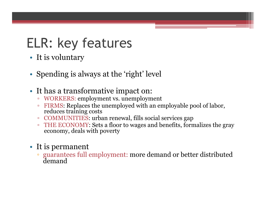## ELR: key features

- It is voluntary
- Spending is always at the 'right' level
- It has a transformative impact on:
	- WORKERS: employment vs. unemployment
	- FIRMS: Replaces the unemployed with an employable pool of labor, reduces training costs
	- COMMUNITIES: urban renewal, fills social services gap
	- THE ECONOMY: Sets a floor to wages and benefits, formalizes the gray economy, deals with poverty
- It is permanent
	- guarantees full employment: more demand or better distributed demand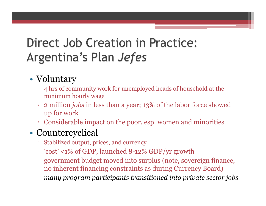#### **Direct Job Creation in Practice:** Argentina's Plan Jefes

#### • Voluntary

- 4 hrs of community work for unemployed heads of household at the minimum hourly wage
- 2 million *jobs* in less than a year; 13% of the labor force showed up for work
- Considerable impact on the poor, esp. women and minorities

#### • Countercyclical

- Stabilized output, prices, and currency
- 'cost' <1% of GDP, launched 8-12% GDP/yr growth
- government budget moved into surplus (note, sovereign finance, no inherent financing constraints as during Currency Board)
- *many program participants transitioned into private sector jobs*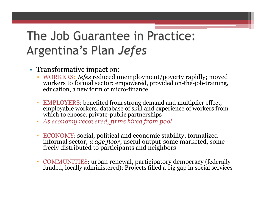#### The Job Guarantee in Practice: Argentina's Plan Jefes

- Transformative impact on:
	- WORKERS: *Jefes* reduced unemployment/poverty rapidly; moved workers to formal sector; empowered, provided on-the-job-training, education, a new form of micro-finance
	- EMPLOYERS: benefited from strong demand and multiplier effect, employable workers, database of skill and experience of workers from which to choose, private-public partnerships
	- *As economy recovered, firms hired from pool*
	- ECONOMY: social, political and economic stability; formalized informal sector, *wage floor*, useful output-some marketed, some freely distributed to participants and neighbors
	- COMMUNITIES: urban renewal, participatory democracy (federally funded, locally administered); Projects filled a big gap in social services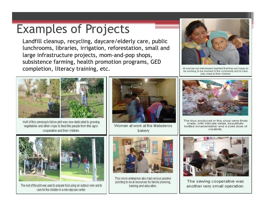#### Examples of Projects

Landfill cleanup, recycling, daycare/elderly care, public lunchrooms, libraries, irrigation, reforestation, small and large infrastructure projects, mom-and-pop shops, subsistence farming, health promotion programs, GED completion, literacy training, etc.



All women we interviewed reported that they are happy to be working, to be involved in the community and to have jobs close to their children



Half of this previously fallow plot was now dedicated to growing vegetables and other crops to feed the people from this agrocooperative and their children.



Women at work at the Mataderos bakery



The toys produced in this shop were finely made, with intricate detail, beautifullyknitted ornamentation and a solid dose of creativity.



The rest of the plot was used to prepare food using an outdoor oven and to care for the children in a mini-daycare center.



This micro-enterprise also had various posters pointing to local resources for family planning. training and education.



The sewing cooperative was another very small operation.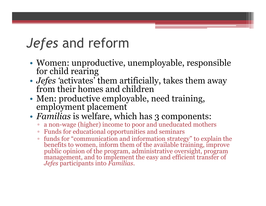#### *Jefes* and reform

- Women: unproductive, unemployable, responsible for child rearing
- *Jefes '*activates' them artificially, takes them away from their homes and children
- Men: productive employable, need training, employment placement
- *Familias* is welfare, which has 3 components:
	- a non-wage (higher) income to poor and uneducated mothers
	- Funds for educational opportunities and seminars
	- funds for "communication and information strategy" to explain the benefits to women, inform them of the available training, improve public opinion of the program, administrative oversight, program management, and to implement the easy and efficient transfer of *Jefes* participants into *Familias*.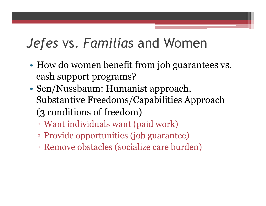#### *Jefes* vs. *Familias* and Women

- How do women benefit from job guarantees vs. cash support programs?
- Sen/Nussbaum: Humanist approach, Substantive Freedoms/Capabilities Approach (3 conditions of freedom)
	- Want individuals want (paid work)
	- Provide opportunities (job guarantee)
	- Remove obstacles (socialize care burden)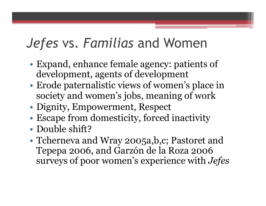## *Jefes* vs. *Familias* and Women

- Expand, enhance female agency: patients of development, agents of development
- Erode paternalistic views of women's place in society and women's jobs, meaning of work
- Dignity, Empowerment, Respect
- Escape from domesticity, forced inactivity
- Double shift?
- Tcherneva and Wray 2005a,b,c; Pastoret and Tepepa 2006, and Garzón de la Roza 2006 surveys of poor women's experience with *Jefes*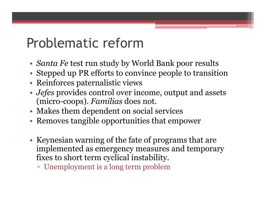#### Problematic reform

- *Santa Fe* test run study by World Bank poor results
- Stepped up PR efforts to convince people to transition
- Reinforces paternalistic views
- *Jefes* provides control over income, output and assets (micro-coops). *Familias* does not.
- Makes them dependent on social services
- Removes tangible opportunities that empower
- Keynesian warning of the fate of programs that are implemented as emergency measures and temporary fixes to short term cyclical instability.
	- Unemployment is a long term problem